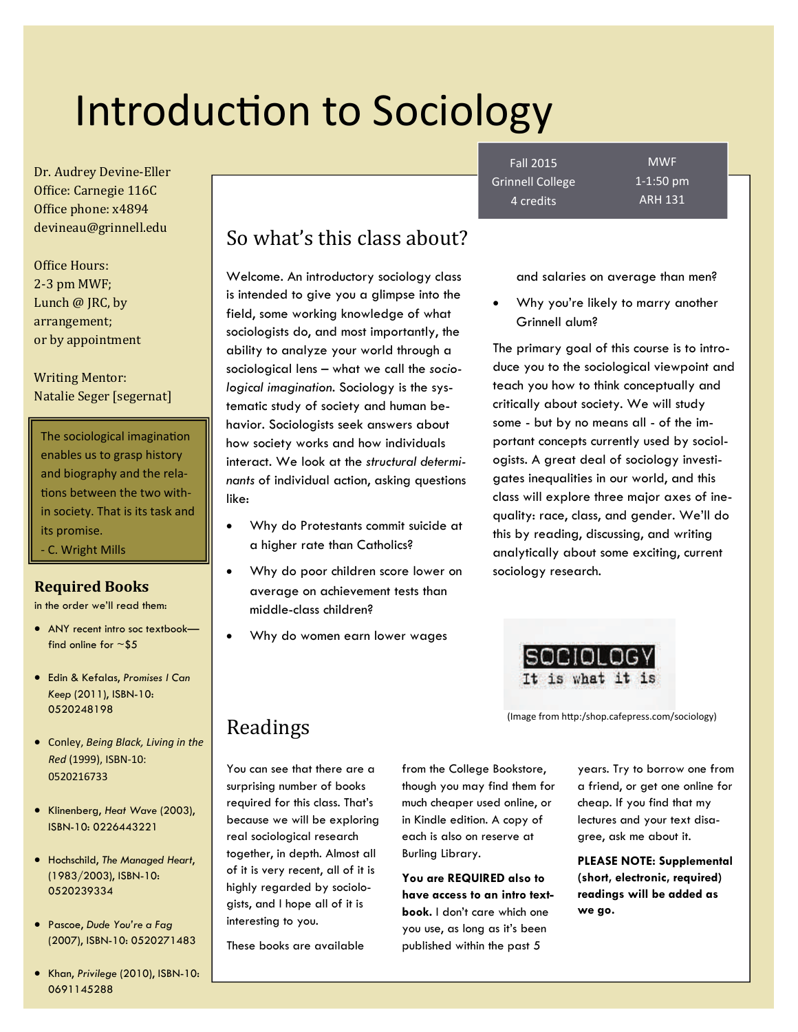# Introduction to Sociology

Dr. Audrey Devine-Eller Office: Carnegie 116C Office phone: x4894 devineau@grinnell.edu 

Office Hours: 2‐3 pm MWF; Lunch  $@$  JRC, by arrangement; or by appointment 

Writing Mentor: Natalie Seger [segernat]

The sociological imagination enables us to grasp history and biography and the rela‐ tions between the two within society. That is its task and its promise.

‐ C. Wright Mills

#### **Required Books**

in the order we'll read them:

- ANY recent intro soc textbookfind online for  $\sim$ \$5
- Edin & Kefalas, *Promises I Can Keep* (2011), ISBN-10: 0520248198
- Conley, *Being Black, Living in the Red* (1999), ISBN‐10: 0520216733
- Klinenberg, *Heat Wave* (2003), ISBN-10: 0226443221
- Hochschild, *The Managed Heart*, (1983/2003), ISBN-10: 0520239334
- Pascoe, *Dude You're a Fag*  (2007), ISBN-10: 0520271483
- Khan, *Privilege* (2010), ISBN-10: 0691145288

# So what's this class about?

Welcome. An introductory sociology class is intended to give you a glimpse into the field, some working knowledge of what sociologists do, and most importantly, the ability to analyze your world through a sociological lens – what we call the *sociological imagination*. Sociology is the systematic study of society and human behavior. Sociologists seek answers about how society works and how individuals interact. We look at the *structural determinants* of individual action, asking questions like:

- Why do Protestants commit suicide at a higher rate than Catholics?
- Why do poor children score lower on average on achievement tests than middle-class children?
- Why do women earn lower wages

Fall 2015 Grinnell College 4 credits

MWF 1‐1:50 pm ARH 131

and salaries on average than men?

 Why you're likely to marry another Grinnell alum?

The primary goal of this course is to introduce you to the sociological viewpoint and teach you how to think conceptually and critically about society. We will study some - but by no means all - of the important concepts currently used by sociologists. A great deal of sociology investigates inequalities in our world, and this class will explore three major axes of inequality: race, class, and gender. We'll do this by reading, discussing, and writing analytically about some exciting, current sociology research.



(Image from hƩp:/shop.cafepress.com/sociology)

# Readings

You can see that there are a surprising number of books required for this class. That's because we will be exploring real sociological research together, in depth. Almost all of it is very recent, all of it is highly regarded by sociologists, and I hope all of it is interesting to you.

These books are available

from the College Bookstore, though you may find them for much cheaper used online, or in Kindle edition. A copy of each is also on reserve at Burling Library.

**You are REQUIRED also to have access to an intro textbook.** I don't care which one you use, as long as it's been published within the past 5

years. Try to borrow one from a friend, or get one online for cheap. If you find that my lectures and your text disagree, ask me about it.

**PLEASE NOTE: Supplemental (short, electronic, required) readings will be added as we go.**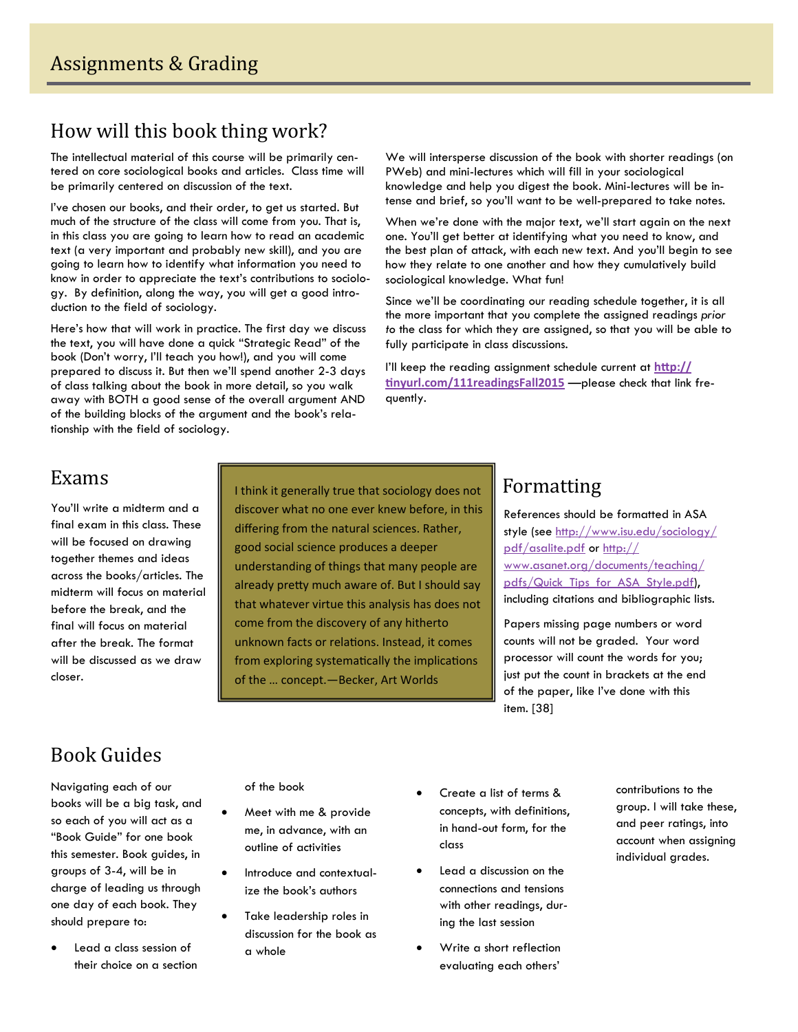# How will this book thing work?

The intellectual material of this course will be primarily centered on core sociological books and articles. Class time will be primarily centered on discussion of the text.

I've chosen our books, and their order, to get us started. But much of the structure of the class will come from you. That is, in this class you are going to learn how to read an academic text (a very important and probably new skill), and you are going to learn how to identify what information you need to know in order to appreciate the text's contributions to sociology. By definition, along the way, you will get a good introduction to the field of sociology.

Here's how that will work in practice. The first day we discuss the text, you will have done a quick "Strategic Read" of the book (Don't worry, I'll teach you how!), and you will come prepared to discuss it. But then we'll spend another 2-3 days of class talking about the book in more detail, so you walk away with BOTH a good sense of the overall argument AND of the building blocks of the argument and the book's relationship with the field of sociology.

We will intersperse discussion of the book with shorter readings (on PWeb) and mini-lectures which will fill in your sociological knowledge and help you digest the book. Mini-lectures will be intense and brief, so you'll want to be well-prepared to take notes.

When we're done with the major text, we'll start again on the next one. You'll get better at identifying what you need to know, and the best plan of attack, with each new text. And you'll begin to see how they relate to one another and how they cumulatively build sociological knowledge. What fun!

Since we'll be coordinating our reading schedule together, it is all the more important that you complete the assigned readings *prior to* the class for which they are assigned, so that you will be able to fully participate in class discussions.

I'll keep the reading assignment schedule current at **hƩ[p://](http://tinyurl.com/111readingsFall2015) Ɵ[nyurl.com/111readingsFall2015](http://tinyurl.com/111readingsFall2015)** —please check that link frequently.

## Exams

You'll write a midterm and a final exam in this class. These will be focused on drawing together themes and ideas across the books/articles. The midterm will focus on material before the break, and the final will focus on material after the break. The format will be discussed as we draw closer.

I think it generally true that sociology does not discover what no one ever knew before, in this differing from the natural sciences. Rather, good social science produces a deeper understanding of things that many people are already pretty much aware of. But I should say that whatever virtue this analysis has does not come from the discovery of any hitherto unknown facts or relations. Instead, it comes from exploring systematically the implications of the … concept.—Becker, Art Worlds

# Formatting

References should be formatted in ASA style (see [http://www.isu.edu/sociology/](http://www.isu.edu/sociology/pdf/asalite.pdf) [pdf/asalite.pdf](http://www.isu.edu/sociology/pdf/asalite.pdf) or [http://](http://www.asanet.org/documents/teaching/pdfs/Quick_Tips_for_ASA_Style.pdf) [www.asanet.org/documents/teaching/](http://www.asanet.org/documents/teaching/pdfs/Quick_Tips_for_ASA_Style.pdf) [pdfs/Quick\\_Tips\\_for\\_ASA\\_Style.pdf](http://www.asanet.org/documents/teaching/pdfs/Quick_Tips_for_ASA_Style.pdf)), including citations and bibliographic lists.

Papers missing page numbers or word counts will not be graded. Your word processor will count the words for you; just put the count in brackets at the end of the paper, like I've done with this item. [38]

# Book Guides

Navigating each of our books will be a big task, and so each of you will act as a "Book Guide" for one book this semester. Book guides, in groups of 3-4, will be in charge of leading us through one day of each book. They should prepare to:

 Lead a class session of their choice on a section of the book

- Meet with me & provide me, in advance, with an outline of activities
- Introduce and contextualize the book's authors
- Take leadership roles in discussion for the book as a whole
- Create a list of terms & concepts, with definitions, in hand-out form, for the class
- Lead a discussion on the connections and tensions with other readings, during the last session
- Write a short reflection evaluating each others'

contributions to the group. I will take these, and peer ratings, into account when assigning individual grades.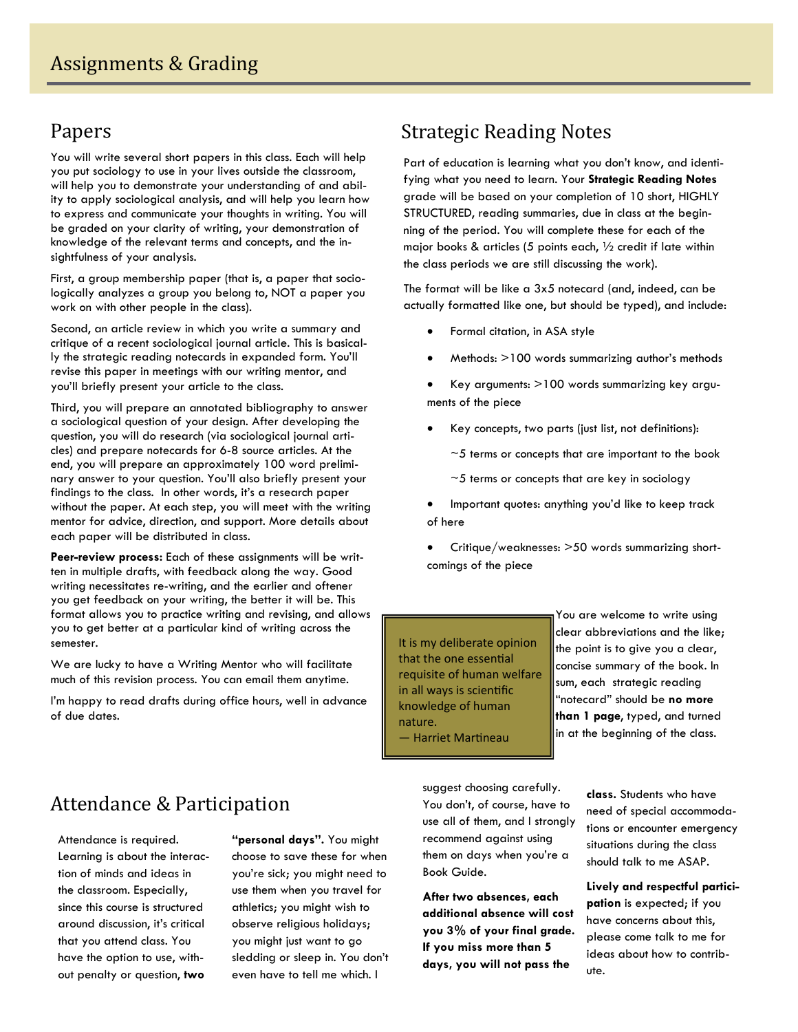# Papers

You will write several short papers in this class. Each will help you put sociology to use in your lives outside the classroom, will help you to demonstrate your understanding of and ability to apply sociological analysis, and will help you learn how to express and communicate your thoughts in writing. You will be graded on your clarity of writing, your demonstration of knowledge of the relevant terms and concepts, and the insightfulness of your analysis.

First, a group membership paper (that is, a paper that sociologically analyzes a group you belong to, NOT a paper you work on with other people in the class).

Second, an article review in which you write a summary and critique of a recent sociological journal article. This is basically the strategic reading notecards in expanded form. You'll revise this paper in meetings with our writing mentor, and you'll briefly present your article to the class.

Third, you will prepare an annotated bibliography to answer a sociological question of your design. After developing the question, you will do research (via sociological journal articles) and prepare notecards for 6-8 source articles. At the end, you will prepare an approximately 100 word preliminary answer to your question. You'll also briefly present your findings to the class. In other words, it's a research paper without the paper. At each step, you will meet with the writing mentor for advice, direction, and support. More details about each paper will be distributed in class.

**Peer-review process:** Each of these assignments will be written in multiple drafts, with feedback along the way. Good writing necessitates re-writing, and the earlier and oftener you get feedback on your writing, the better it will be. This format allows you to practice writing and revising, and allows you to get better at a particular kind of writing across the semester.

We are lucky to have a Writing Mentor who will facilitate much of this revision process. You can email them anytime.

I'm happy to read drafts during office hours, well in advance of due dates.

# **Strategic Reading Notes**

Part of education is learning what you don't know, and identifying what you need to learn. Your **Strategic Reading Notes** grade will be based on your completion of 10 short, HIGHLY STRUCTURED, reading summaries, due in class at the beginning of the period. You will complete these for each of the major books & articles (5 points each,  $\frac{1}{2}$  credit if late within the class periods we are still discussing the work).

The format will be like a 3x5 notecard (and, indeed, can be actually formatted like one, but should be typed), and include:

- Formal citation, in ASA style
- Methods: >100 words summarizing author's methods
- Key arguments: >100 words summarizing key arguments of the piece
- Key concepts, two parts (just list, not definitions):
	- $\sim$  5 terms or concepts that are important to the book
	- $~5$  terms or concepts that are key in sociology

 Important quotes: anything you'd like to keep track of here

 Critique/weaknesses: >50 words summarizing shortcomings of the piece

It is my deliberate opinion that the one essential requisite of human welfare in all ways is scienƟfic knowledge of human nature. — Harriet MarƟneau

You are welcome to write using clear abbreviations and the like; the point is to give you a clear, concise summary of the book. In sum, each strategic reading "notecard" should be **no more than 1 page**, typed, and turned in at the beginning of the class.

# Attendance & Participation

Attendance is required. Learning is about the interaction of minds and ideas in the classroom. Especially, since this course is structured around discussion, it's critical that you attend class. You have the option to use, without penalty or question, **two** 

**"personal days".** You might choose to save these for when you're sick; you might need to use them when you travel for athletics; you might wish to observe religious holidays; you might just want to go sledding or sleep in. You don't even have to tell me which. I

suggest choosing carefully. You don't, of course, have to use all of them, and I strongly recommend against using them on days when you're a Book Guide.

**After two absences, each additional absence will cost you 3% of your final grade. If you miss more than 5 days, you will not pass the** 

**class.** Students who have need of special accommodations or encounter emergency situations during the class should talk to me ASAP.

**Lively and respectful participation** is expected; if you have concerns about this, please come talk to me for ideas about how to contribute.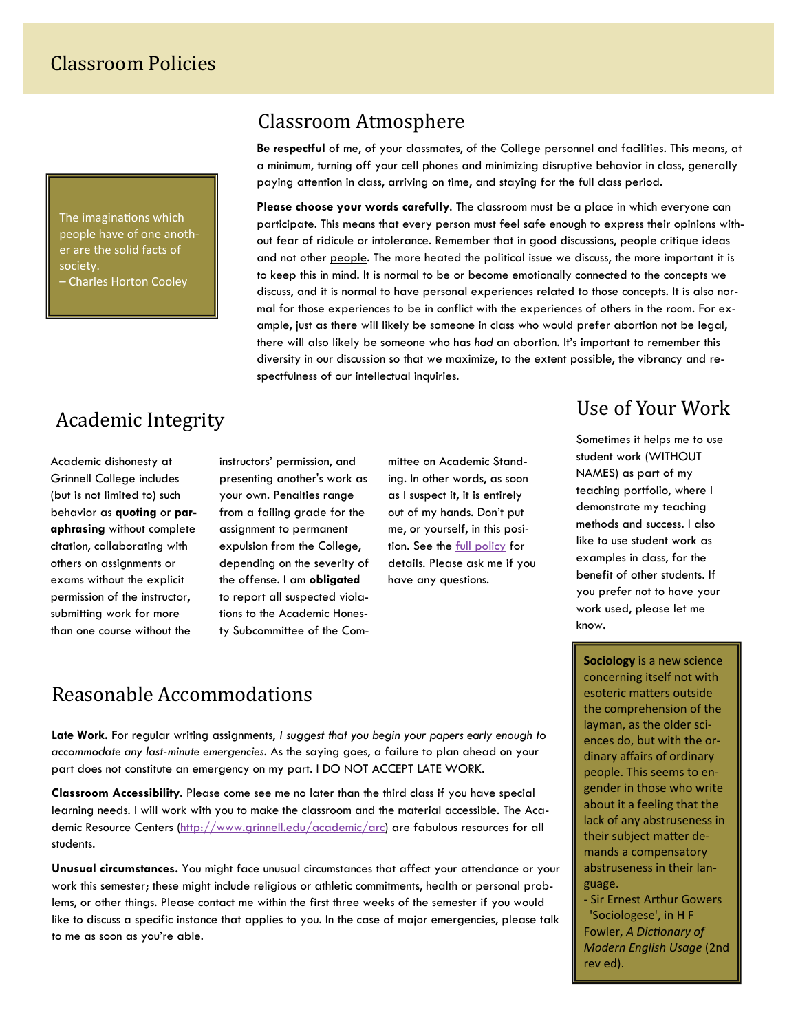The imaginations which people have of one anoth‐ er are the solid facts of society. – Charles Horton Cooley

## Classroom Atmosphere

**Be respectful** of me, of your classmates, of the College personnel and facilities. This means, at a minimum, turning off your cell phones and minimizing disruptive behavior in class, generally paying attention in class, arriving on time, and staying for the full class period.

**Please choose your words carefully**. The classroom must be a place in which everyone can participate. This means that every person must feel safe enough to express their opinions without fear of ridicule or intolerance. Remember that in good discussions, people critique ideas and not other people. The more heated the political issue we discuss, the more important it is to keep this in mind. It is normal to be or become emotionally connected to the concepts we discuss, and it is normal to have personal experiences related to those concepts. It is also normal for those experiences to be in conflict with the experiences of others in the room. For example, just as there will likely be someone in class who would prefer abortion not be legal, there will also likely be someone who has *had* an abortion. It's important to remember this diversity in our discussion so that we maximize, to the extent possible, the vibrancy and respectfulness of our intellectual inquiries.

# Academic Integrity

Academic dishonesty at Grinnell College includes (but is not limited to) such behavior as **quoting** or **paraphrasing** without complete citation, collaborating with others on assignments or exams without the explicit permission of the instructor, submitting work for more than one course without the

instructors' permission, and presenting another's work as your own. Penalties range from a failing grade for the assignment to permanent expulsion from the College, depending on the severity of the offense. I am **obligated** to report all suspected violations to the Academic Honesty Subcommittee of the Com-

mittee on Academic Standing. In other words, as soon as I suspect it, it is entirely out of my hands. Don't put me, or yourself, in this position. See the [full policy](https://www.grinnell.edu/node/25722) for details. Please ask me if you have any questions.

# Use of Your Work

Sometimes it helps me to use student work (WITHOUT NAMES) as part of my teaching portfolio, where I demonstrate my teaching methods and success. I also like to use student work as examples in class, for the benefit of other students. If you prefer not to have your work used, please let me know.

**Sociology** is a new science concerning itself not with esoteric matters outside the comprehension of the layman, as the older sci‐ ences do, but with the or‐ dinary affairs of ordinary people. This seems to en‐ gender in those who write about it a feeling that the lack of any abstruseness in their subject matter demands a compensatory abstruseness in their lan‐ guage.

‐ Sir Ernest Arthur Gowers 'Sociologese', in H F Fowler, *A DicƟonary of Modern English Usage* (2nd rev ed).

## Reasonable Accommodations

**Late Work.** For regular writing assignments, *I suggest that you begin your papers early enough to accommodate any last-minute emergencies.* As the saying goes, a failure to plan ahead on your part does not constitute an emergency on my part. I DO NOT ACCEPT LATE WORK.

**Classroom Accessibility**. Please come see me no later than the third class if you have special learning needs. I will work with you to make the classroom and the material accessible. The Aca-demic Resource Centers [\(http://www.grinnell.edu/academic/arc](http://www.grinnell.edu/academic/arc)) are fabulous resources for all students.

**Unusual circumstances.** You might face unusual circumstances that affect your attendance or your work this semester; these might include religious or athletic commitments, health or personal problems, or other things. Please contact me within the first three weeks of the semester if you would like to discuss a specific instance that applies to you. In the case of major emergencies, please talk to me as soon as you're able.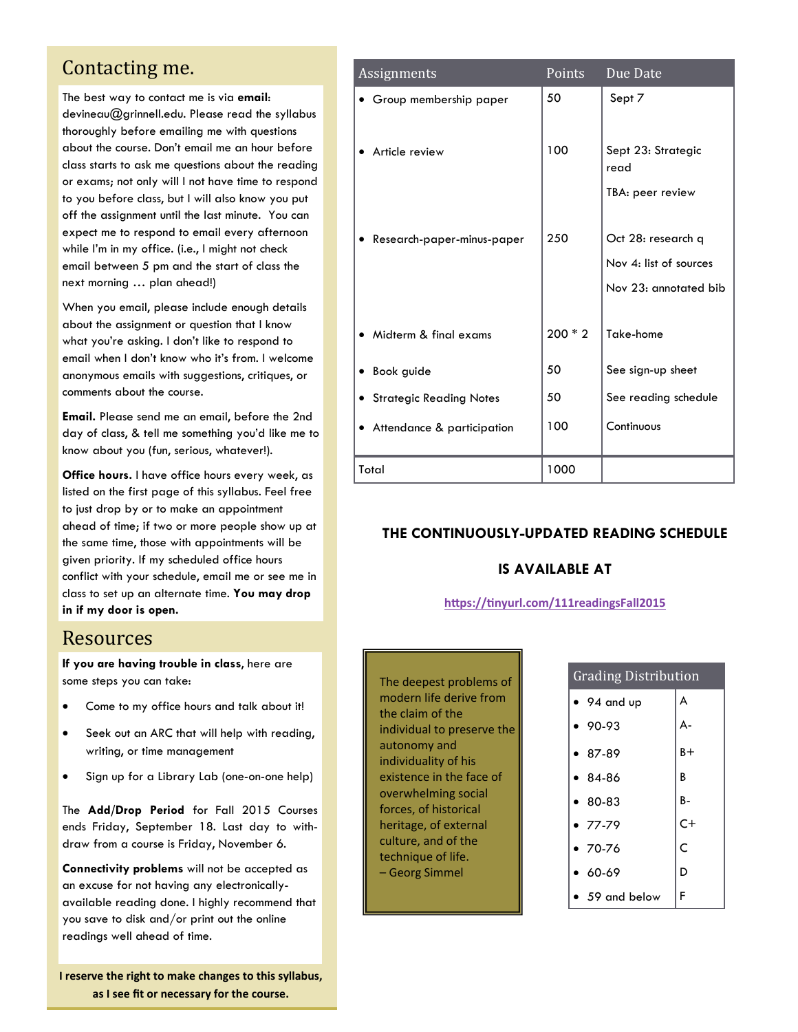## Contacting me.

The best way to contact me is via **email**: devineau@grinnell.edu. Please read the syllabus thoroughly before emailing me with questions about the course. Don't email me an hour before class starts to ask me questions about the reading or exams; not only will I not have time to respond to you before class, but I will also know you put off the assignment until the last minute. You can expect me to respond to email every afternoon while I'm in my office. (i.e., I might not check email between 5 pm and the start of class the next morning … plan ahead!)

When you email, please include enough details about the assignment or question that I know what you're asking. I don't like to respond to email when I don't know who it's from. I welcome anonymous emails with suggestions, critiques, or comments about the course.

**Email.** Please send me an email, before the 2nd day of class, & tell me something you'd like me to know about you (fun, serious, whatever!).

**Office hours.** I have office hours every week, as listed on the first page of this syllabus. Feel free to just drop by or to make an appointment ahead of time; if two or more people show up at the same time, those with appointments will be given priority. If my scheduled office hours conflict with your schedule, email me or see me in class to set up an alternate time. **You may drop in if my door is open.**

### Resources

**If you are having trouble in class**, here are some steps you can take:

- Come to my office hours and talk about it!
- Seek out an ARC that will help with reading, writing, or time management
- Sign up for a Library Lab (one-on-one help)

The **Add/Drop Period** for Fall 2015 Courses ends Friday, September 18. Last day to withdraw from a course is Friday, November 6.

**Connectivity problems** will not be accepted as an excuse for not having any electronicallyavailable reading done. I highly recommend that you save to disk and/or print out the online readings well ahead of time.

**I reserve the right to make changes to this syllabus, as I see fit or necessary for the course.**

| Assignments                    | Points    | Due Date                   |
|--------------------------------|-----------|----------------------------|
| Group membership paper         | 50        | Sept 7                     |
|                                |           |                            |
| Article review                 | 100       | Sept 23: Strategic<br>read |
|                                |           | TBA: peer review           |
|                                |           |                            |
| Research-paper-minus-paper     | 250       | Oct 28: research q         |
|                                |           | Nov 4: list of sources     |
|                                |           | Nov 23: annotated bib      |
|                                |           |                            |
| Midterm & final exams          | $200 * 2$ | Take-home                  |
| Book guide                     | 50        | See sign-up sheet          |
| <b>Strategic Reading Notes</b> | 50        | See reading schedule       |
| Attendance & participation     | 100       | Continuous                 |
|                                |           |                            |
| Total                          | 1000      |                            |

#### **THE CONTINUOUSLY-UPDATED READING SCHEDULE**

#### **IS AVAILABLE AT**

#### **hƩps://Ɵ[nyurl.com/111readingsFall2015](http://tinyurl.com/111readingsFall2015)**

The deepest problems of modern life derive from the claim of the individual to preserve the autonomy and individuality of his existence in the face of overwhelming social forces, of historical heritage, of external culture, and of the technique of life. – Georg Simmel

| <b>Grading Distribution</b> |       |  |  |  |
|-----------------------------|-------|--|--|--|
| $\bullet$ 94 and up         | A     |  |  |  |
| $90-93$                     | A-    |  |  |  |
| $-87-89$                    | $B +$ |  |  |  |
| $84-86$                     | B     |  |  |  |
| $• 80-83$                   | B-    |  |  |  |
| $-77-79$                    | $C+$  |  |  |  |
| $-70-76$                    | Ċ     |  |  |  |
| $60-69$                     | D     |  |  |  |
| 59 and below                | F     |  |  |  |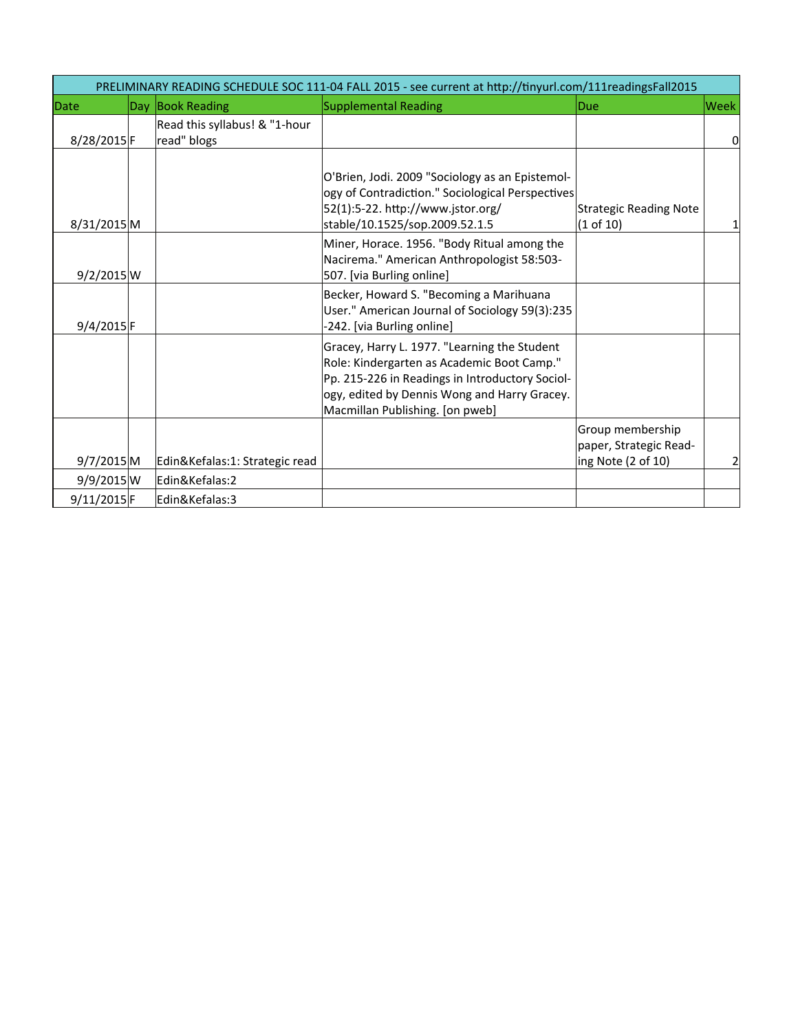| PRELIMINARY READING SCHEDULE SOC 111-04 FALL 2015 - see current at http://tinyurl.com/111readingsFall2015 |  |                                              |                                                                                                                                                                                                                                   |                                                                  |             |  |
|-----------------------------------------------------------------------------------------------------------|--|----------------------------------------------|-----------------------------------------------------------------------------------------------------------------------------------------------------------------------------------------------------------------------------------|------------------------------------------------------------------|-------------|--|
| Date                                                                                                      |  | Day Book Reading                             | Supplemental Reading                                                                                                                                                                                                              | lDue                                                             | <b>Week</b> |  |
| 8/28/2015 F                                                                                               |  | Read this syllabus! & "1-hour<br>read" blogs |                                                                                                                                                                                                                                   |                                                                  | 0           |  |
| 8/31/2015 M                                                                                               |  |                                              | O'Brien, Jodi. 2009 "Sociology as an Epistemol-<br>logy of Contradiction." Sociological Perspectives<br>52(1):5-22. http://www.jstor.org/<br>stable/10.1525/sop.2009.52.1.5                                                       | <b>Strategic Reading Note</b><br>(1 of 10)                       |             |  |
| 9/2/2015 W                                                                                                |  |                                              | Miner, Horace. 1956. "Body Ritual among the<br>Nacirema." American Anthropologist 58:503-<br>507. [via Burling online]                                                                                                            |                                                                  |             |  |
| 9/4/2015 F                                                                                                |  |                                              | Becker, Howard S. "Becoming a Marihuana<br>User." American Journal of Sociology 59(3):235<br>-242. [via Burling online]                                                                                                           |                                                                  |             |  |
|                                                                                                           |  |                                              | Gracey, Harry L. 1977. "Learning the Student<br>Role: Kindergarten as Academic Boot Camp."<br>Pp. 215-226 in Readings in Introductory Sociol-<br>logy, edited by Dennis Wong and Harry Gracey.<br>Macmillan Publishing. [on pweb] |                                                                  |             |  |
| 9/7/2015M                                                                                                 |  | Edin&Kefalas:1: Strategic read               |                                                                                                                                                                                                                                   | Group membership<br>paper, Strategic Read-<br>ing Note (2 of 10) | 2           |  |
| 9/9/2015 W                                                                                                |  | Edin&Kefalas:2                               |                                                                                                                                                                                                                                   |                                                                  |             |  |
| 9/11/2015F                                                                                                |  | Edin&Kefalas:3                               |                                                                                                                                                                                                                                   |                                                                  |             |  |